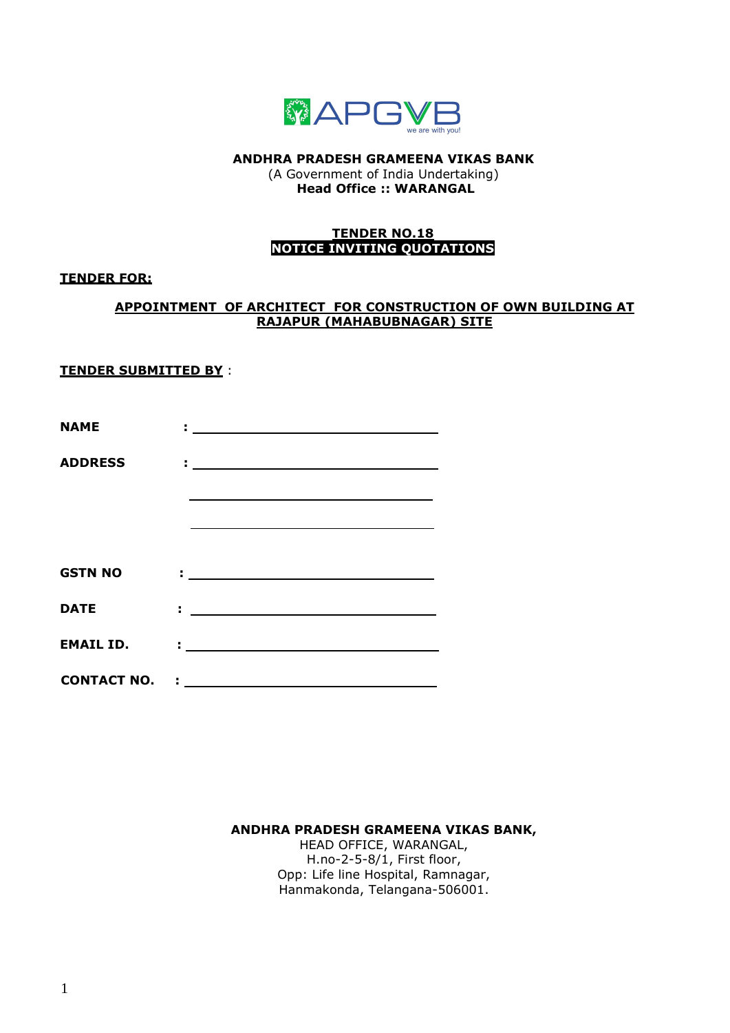

**ANDHRA PRADESH GRAMEENA VIKAS BANK** (A Government of India Undertaking) **Head Office :: WARANGAL** 

## **TENDER NO.18 NOTICE INVITING QUOTATIONS**

## **TENDER FOR:**

## **APPOINTMENT OF ARCHITECT FOR CONSTRUCTION OF OWN BUILDING AT RAJAPUR (MAHABUBNAGAR) SITE**

## **TENDER SUBMITTED BY** :

| <b>NAME</b>      | <u> 1988 - Johann John Stein, markin sanadi a</u>                                                                                                                                                                             |
|------------------|-------------------------------------------------------------------------------------------------------------------------------------------------------------------------------------------------------------------------------|
| <b>ADDRESS</b>   |                                                                                                                                                                                                                               |
|                  | the control of the control of the control of the control of the control of the control of the control of the control of the control of the control of the control of the control of the control of the control of the control |
|                  | the control of the control of the control of the control of the control of the control of the control of the control of the control of the control of the control of the control of the control of the control of the control |
|                  |                                                                                                                                                                                                                               |
| <b>GSTN NO</b>   | <u> 1988 - Jan Alexandro Alexandro III (m. 1988)</u>                                                                                                                                                                          |
| <b>DATE</b>      | <u> 1989 - Jan Alexandria (h. 1989).</u><br>1905 - Johann Barnett, frantziar frantziar eta idazlea (h. 1906).                                                                                                                 |
| <b>EMAIL ID.</b> | <u> 1989 - Jan Alexandria (h. 1989).</u><br>1905 - Johann Britt, fransk skrivetsk konge (h. 1906).                                                                                                                            |
|                  |                                                                                                                                                                                                                               |

**ANDHRA PRADESH GRAMEENA VIKAS BANK,**

HEAD OFFICE, WARANGAL, H.no-2-5-8/1, First floor, Opp: Life line Hospital, Ramnagar, Hanmakonda, Telangana-506001.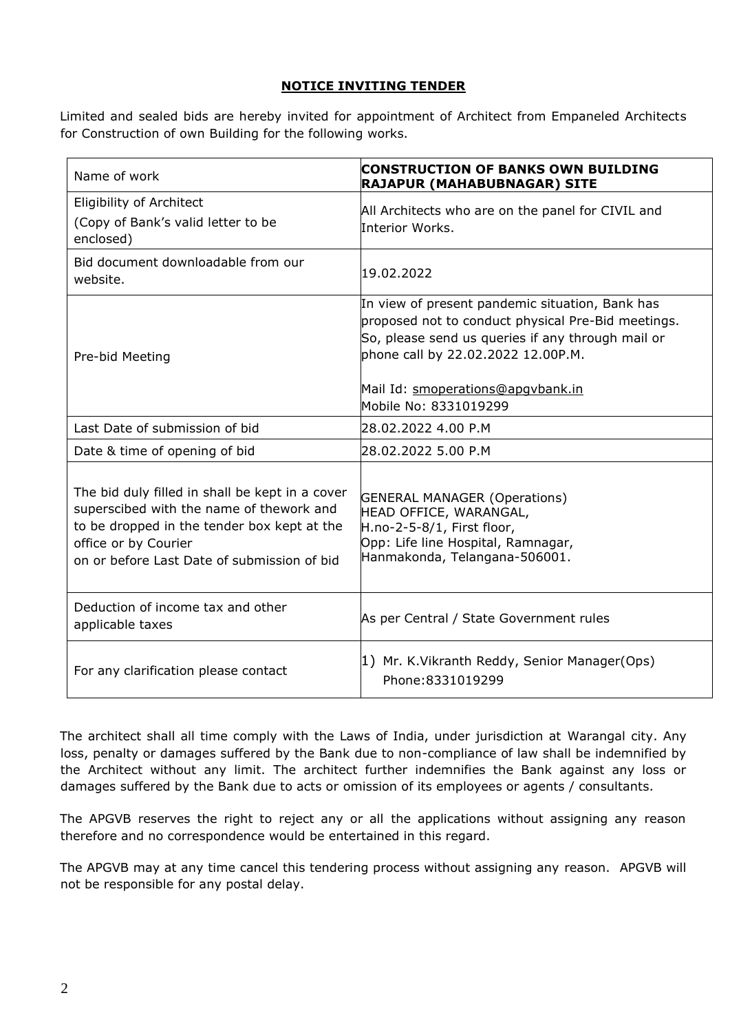# **NOTICE INVITING TENDER**

Limited and sealed bids are hereby invited for appointment of Architect from Empaneled Architects for Construction of own Building for the following works.

| Name of work                                                                                                                                                                                                      | <b>CONSTRUCTION OF BANKS OWN BUILDING</b><br>RAJAPUR (MAHABUBNAGAR) SITE                                                                                                                                                                                       |
|-------------------------------------------------------------------------------------------------------------------------------------------------------------------------------------------------------------------|----------------------------------------------------------------------------------------------------------------------------------------------------------------------------------------------------------------------------------------------------------------|
| Eligibility of Architect<br>(Copy of Bank's valid letter to be<br>enclosed)                                                                                                                                       | All Architects who are on the panel for CIVIL and<br>Interior Works.                                                                                                                                                                                           |
| Bid document downloadable from our<br>website.                                                                                                                                                                    | 19.02.2022                                                                                                                                                                                                                                                     |
| Pre-bid Meeting                                                                                                                                                                                                   | In view of present pandemic situation, Bank has<br>proposed not to conduct physical Pre-Bid meetings.<br>So, please send us queries if any through mail or<br>phone call by 22.02.2022 12.00P.M.<br>Mail Id: smoperations@apgybank.in<br>Mobile No: 8331019299 |
| Last Date of submission of bid                                                                                                                                                                                    | 28.02.2022 4.00 P.M                                                                                                                                                                                                                                            |
| Date & time of opening of bid                                                                                                                                                                                     | 28.02.2022 5.00 P.M                                                                                                                                                                                                                                            |
| The bid duly filled in shall be kept in a cover<br>superscibed with the name of thework and<br>to be dropped in the tender box kept at the<br>office or by Courier<br>on or before Last Date of submission of bid | <b>GENERAL MANAGER (Operations)</b><br>HEAD OFFICE, WARANGAL,<br>H.no-2-5-8/1, First floor,<br>Opp: Life line Hospital, Ramnagar,<br>Hanmakonda, Telangana-506001.                                                                                             |
| Deduction of income tax and other<br>applicable taxes                                                                                                                                                             | As per Central / State Government rules                                                                                                                                                                                                                        |
| For any clarification please contact                                                                                                                                                                              | 1) Mr. K.Vikranth Reddy, Senior Manager(Ops)<br>Phone: 8331019299                                                                                                                                                                                              |

The architect shall all time comply with the Laws of India, under jurisdiction at Warangal city. Any loss, penalty or damages suffered by the Bank due to non-compliance of law shall be indemnified by the Architect without any limit. The architect further indemnifies the Bank against any loss or damages suffered by the Bank due to acts or omission of its employees or agents / consultants.

The APGVB reserves the right to reject any or all the applications without assigning any reason therefore and no correspondence would be entertained in this regard.

The APGVB may at any time cancel this tendering process without assigning any reason. APGVB will not be responsible for any postal delay.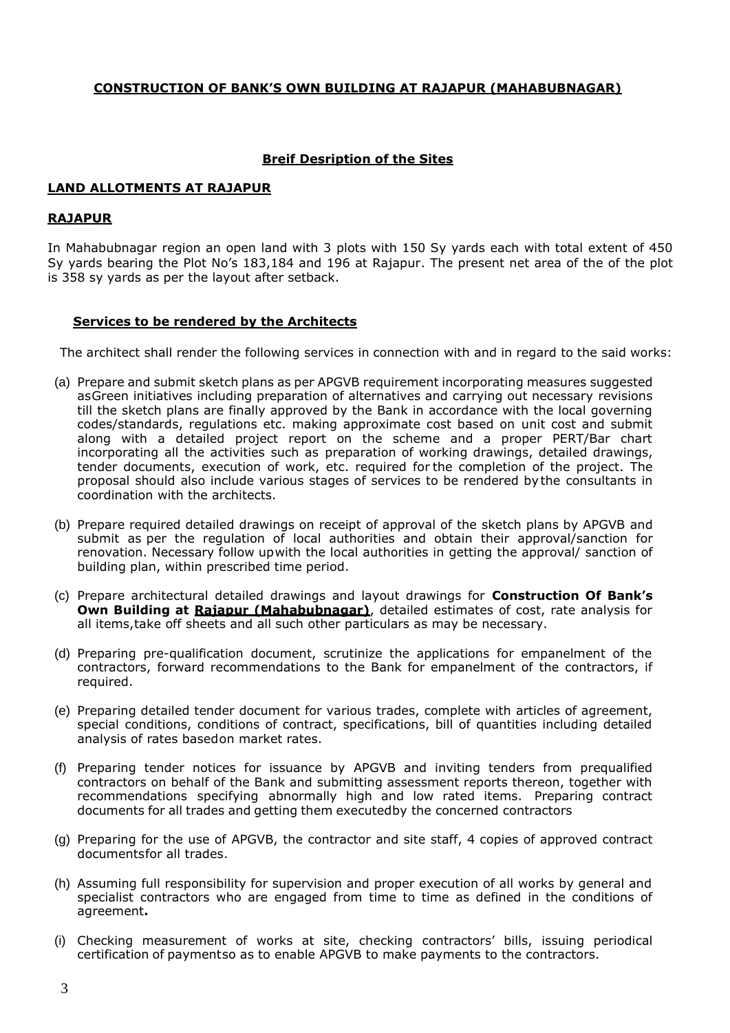#### **CONSTRUCTION OF BANK'S OWN BUILDING AT RAJAPUR (MAHABUBNAGAR)**

## **Breif Desription of the Sites**

#### **LAND ALLOTMENTS AT RAJAPUR**

#### **RAJAPUR**

In Mahabubnagar region an open land with 3 plots with 150 Sy yards each with total extent of 450 Sy yards bearing the Plot No's 183,184 and 196 at Rajapur. The present net area of the of the plot is 358 sy yards as per the layout after setback.

## **Services to be rendered by the Architects**

The architect shall render the following services in connection with and in regard to the said works:

- (a) Prepare and submit sketch plans as per APGVB requirement incorporating measures suggested asGreen initiatives including preparation of alternatives and carrying out necessary revisions till the sketch plans are finally approved by the Bank in accordance with the local governing codes/standards, regulations etc. making approximate cost based on unit cost and submit along with a detailed project report on the scheme and a proper PERT/Bar chart incorporating all the activities such as preparation of working drawings, detailed drawings, tender documents, execution of work, etc. required for the completion of the project. The proposal should also include various stages of services to be rendered bythe consultants in coordination with the architects.
- (b) Prepare required detailed drawings on receipt of approval of the sketch plans by APGVB and submit as per the regulation of local authorities and obtain their approval/sanction for renovation. Necessary follow upwith the local authorities in getting the approval/ sanction of building plan, within prescribed time period.
- (c) Prepare architectural detailed drawings and layout drawings for **Construction Of Bank's Own Building at Rajapur (Mahabubnagar)**, detailed estimates of cost, rate analysis for all items,take off sheets and all such other particulars as may be necessary.
- (d) Preparing pre-qualification document, scrutinize the applications for empanelment of the contractors, forward recommendations to the Bank for empanelment of the contractors, if required.
- (e) Preparing detailed tender document for various trades, complete with articles of agreement, special conditions, conditions of contract, specifications, bill of quantities including detailed analysis of rates basedon market rates.
- (f) Preparing tender notices for issuance by APGVB and inviting tenders from prequalified contractors on behalf of the Bank and submitting assessment reports thereon, together with recommendations specifying abnormally high and low rated items. Preparing contract documents for all trades and getting them executedby the concerned contractors
- (g) Preparing for the use of APGVB, the contractor and site staff, 4 copies of approved contract documentsfor all trades.
- (h) Assuming full responsibility for supervision and proper execution of all works by general and specialist contractors who are engaged from time to time as defined in the conditions of agreement**.**
- (i) Checking measurement of works at site, checking contractors' bills, issuing periodical certification of paymentso as to enable APGVB to make payments to the contractors.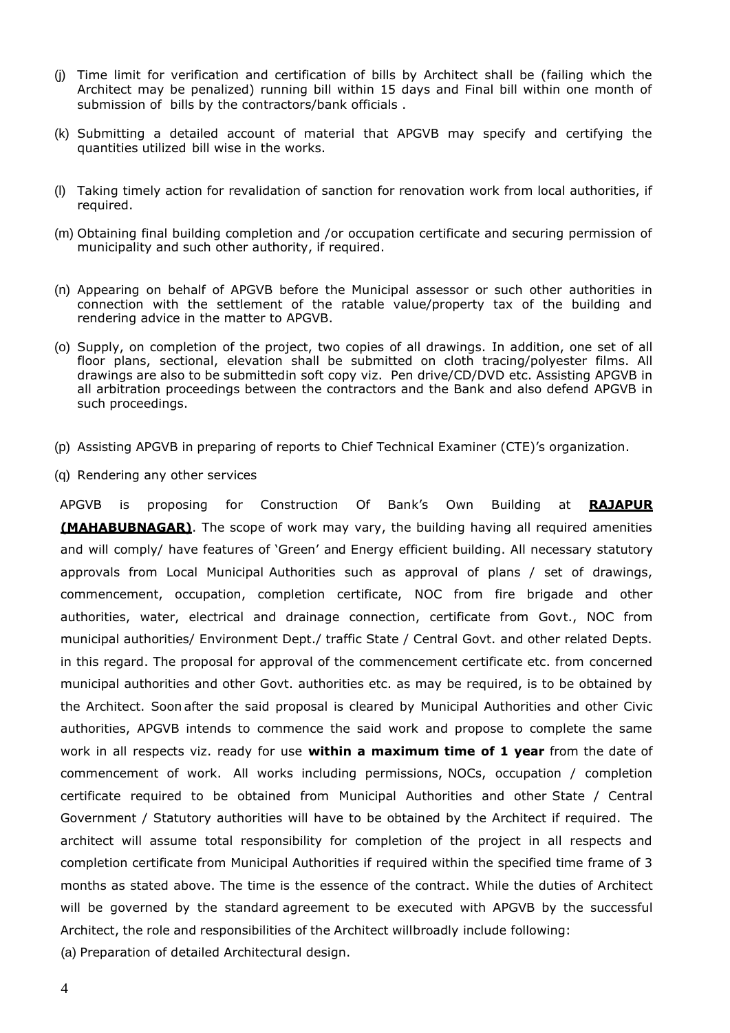- (j) Time limit for verification and certification of bills by Architect shall be (failing which the Architect may be penalized) running bill within 15 days and Final bill within one month of submission of bills by the contractors/bank officials .
- (k) Submitting a detailed account of material that APGVB may specify and certifying the quantities utilized bill wise in the works.
- (l) Taking timely action for revalidation of sanction for renovation work from local authorities, if required.
- (m) Obtaining final building completion and /or occupation certificate and securing permission of municipality and such other authority, if required.
- (n) Appearing on behalf of APGVB before the Municipal assessor or such other authorities in connection with the settlement of the ratable value/property tax of the building and rendering advice in the matter to APGVB.
- (o) Supply, on completion of the project, two copies of all drawings. In addition, one set of all floor plans, sectional, elevation shall be submitted on cloth tracing/polyester films. All drawings are also to be submittedin soft copy viz. Pen drive/CD/DVD etc. Assisting APGVB in all arbitration proceedings between the contractors and the Bank and also defend APGVB in such proceedings.
- (p) Assisting APGVB in preparing of reports to Chief Technical Examiner (CTE)'s organization.
- (q) Rendering any other services

APGVB is proposing for Construction Of Bank's Own Building at **RAJAPUR (MAHABUBNAGAR)**. The scope of work may vary, the building having all required amenities and will comply/ have features of 'Green' and Energy efficient building. All necessary statutory approvals from Local Municipal Authorities such as approval of plans / set of drawings, commencement, occupation, completion certificate, NOC from fire brigade and other authorities, water, electrical and drainage connection, certificate from Govt., NOC from municipal authorities/ Environment Dept./ traffic State / Central Govt. and other related Depts. in this regard. The proposal for approval of the commencement certificate etc. from concerned municipal authorities and other Govt. authorities etc. as may be required, is to be obtained by the Architect. Soon after the said proposal is cleared by Municipal Authorities and other Civic authorities, APGVB intends to commence the said work and propose to complete the same work in all respects viz. ready for use **within a maximum time of 1 year** from the date of commencement of work. All works including permissions, NOCs, occupation / completion certificate required to be obtained from Municipal Authorities and other State / Central Government / Statutory authorities will have to be obtained by the Architect if required. The architect will assume total responsibility for completion of the project in all respects and completion certificate from Municipal Authorities if required within the specified time frame of 3 months as stated above. The time is the essence of the contract. While the duties of Architect will be governed by the standard agreement to be executed with APGVB by the successful Architect, the role and responsibilities of the Architect willbroadly include following:

(a) Preparation of detailed Architectural design.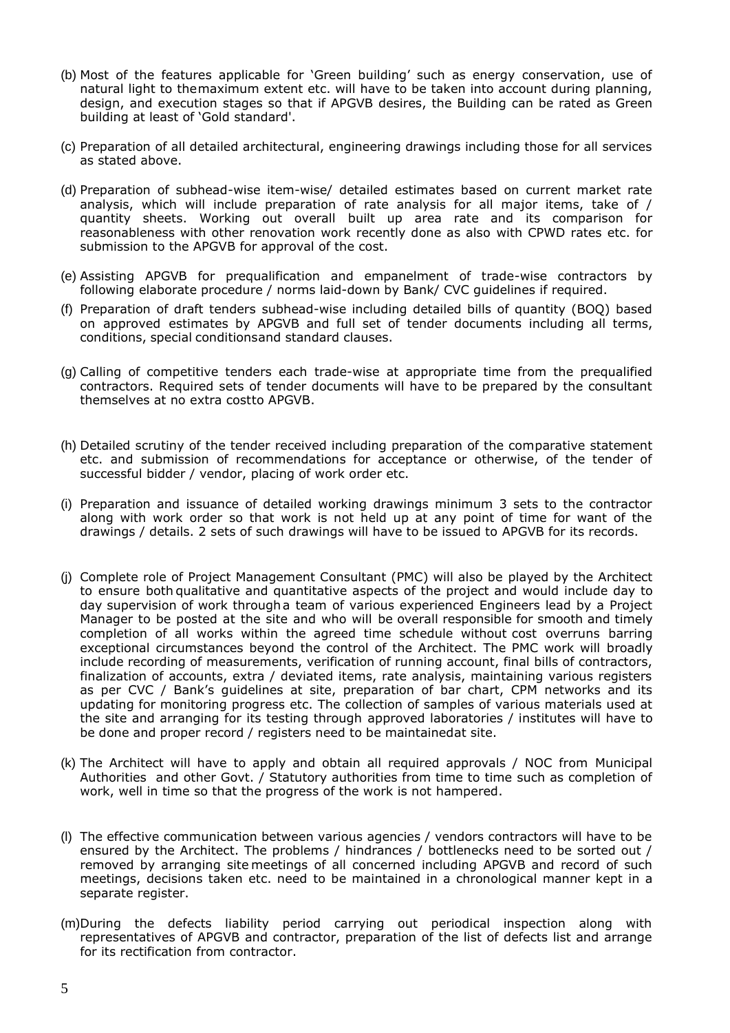- (b) Most of the features applicable for 'Green building' such as energy conservation, use of natural light to themaximum extent etc. will have to be taken into account during planning, design, and execution stages so that if APGVB desires, the Building can be rated as Green building at least of 'Gold standard'.
- (c) Preparation of all detailed architectural, engineering drawings including those for all services as stated above.
- (d) Preparation of subhead-wise item-wise/ detailed estimates based on current market rate analysis, which will include preparation of rate analysis for all major items, take of / quantity sheets. Working out overall built up area rate and its comparison for reasonableness with other renovation work recently done as also with CPWD rates etc. for submission to the APGVB for approval of the cost.
- (e) Assisting APGVB for prequalification and empanelment of trade-wise contractors by following elaborate procedure / norms laid-down by Bank/ CVC guidelines if required.
- (f) Preparation of draft tenders subhead-wise including detailed bills of quantity (BOQ) based on approved estimates by APGVB and full set of tender documents including all terms, conditions, special conditionsand standard clauses.
- (g) Calling of competitive tenders each trade-wise at appropriate time from the prequalified contractors. Required sets of tender documents will have to be prepared by the consultant themselves at no extra costto APGVB.
- (h) Detailed scrutiny of the tender received including preparation of the comparative statement etc. and submission of recommendations for acceptance or otherwise, of the tender of successful bidder / vendor, placing of work order etc.
- (i) Preparation and issuance of detailed working drawings minimum 3 sets to the contractor along with work order so that work is not held up at any point of time for want of the drawings / details. 2 sets of such drawings will have to be issued to APGVB for its records.
- (j) Complete role of Project Management Consultant (PMC) will also be played by the Architect to ensure both qualitative and quantitative aspects of the project and would include day to day supervision of work througha team of various experienced Engineers lead by a Project Manager to be posted at the site and who will be overall responsible for smooth and timely completion of all works within the agreed time schedule without cost overruns barring exceptional circumstances beyond the control of the Architect. The PMC work will broadly include recording of measurements, verification of running account, final bills of contractors, finalization of accounts, extra / deviated items, rate analysis, maintaining various registers as per CVC / Bank's guidelines at site, preparation of bar chart, CPM networks and its updating for monitoring progress etc. The collection of samples of various materials used at the site and arranging for its testing through approved laboratories / institutes will have to be done and proper record / registers need to be maintainedat site.
- (k) The Architect will have to apply and obtain all required approvals / NOC from Municipal Authorities and other Govt. / Statutory authorities from time to time such as completion of work, well in time so that the progress of the work is not hampered.
- (l) The effective communication between various agencies / vendors contractors will have to be ensured by the Architect. The problems / hindrances / bottlenecks need to be sorted out / removed by arranging site meetings of all concerned including APGVB and record of such meetings, decisions taken etc. need to be maintained in a chronological manner kept in a separate register.
- (m)During the defects liability period carrying out periodical inspection along with representatives of APGVB and contractor, preparation of the list of defects list and arrange for its rectification from contractor.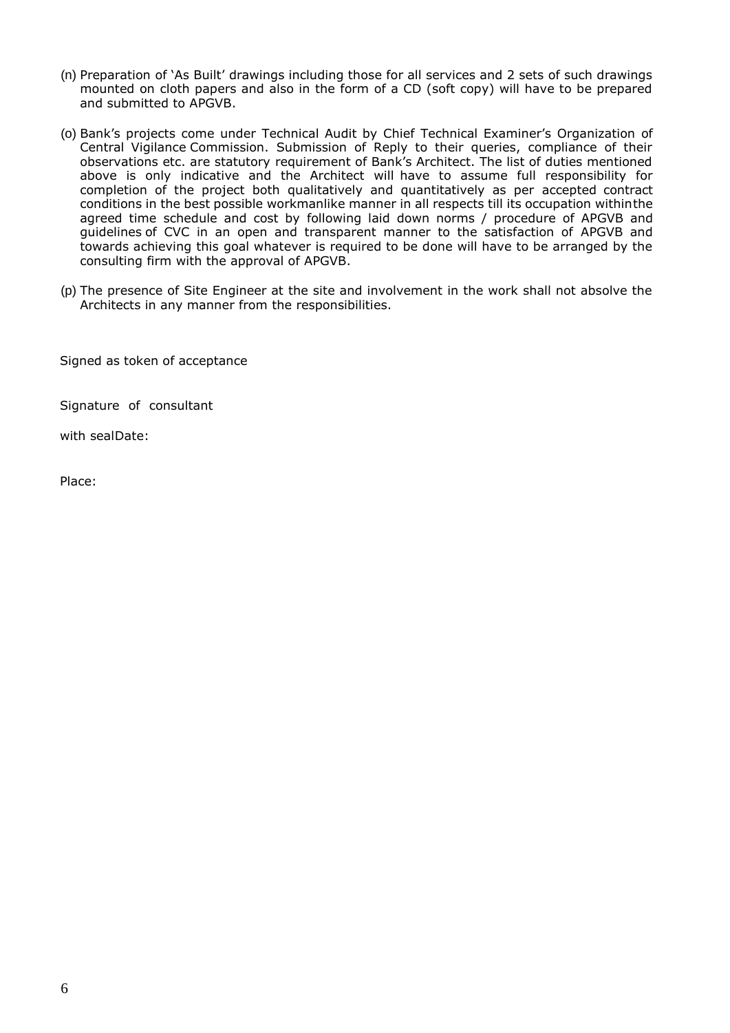- (n) Preparation of 'As Built' drawings including those for all services and 2 sets of such drawings mounted on cloth papers and also in the form of a CD (soft copy) will have to be prepared and submitted to APGVB.
- (o) Bank's projects come under Technical Audit by Chief Technical Examiner's Organization of Central Vigilance Commission. Submission of Reply to their queries, compliance of their observations etc. are statutory requirement of Bank's Architect. The list of duties mentioned above is only indicative and the Architect will have to assume full responsibility for completion of the project both qualitatively and quantitatively as per accepted contract conditions in the best possible workmanlike manner in all respects till its occupation withinthe agreed time schedule and cost by following laid down norms / procedure of APGVB and guidelines of CVC in an open and transparent manner to the satisfaction of APGVB and towards achieving this goal whatever is required to be done will have to be arranged by the consulting firm with the approval of APGVB.
- (p) The presence of Site Engineer at the site and involvement in the work shall not absolve the Architects in any manner from the responsibilities.

Signed as token of acceptance

Signature of consultant

with sealDate:

Place: